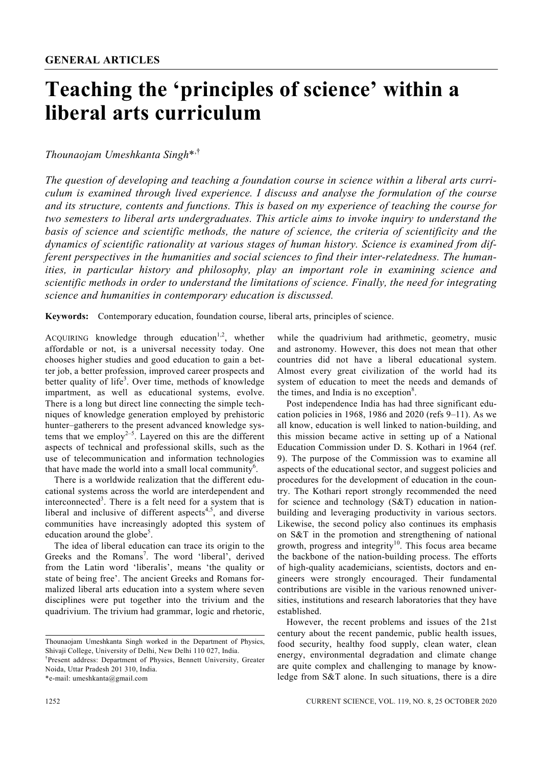# **Teaching the 'principles of science' within a liberal arts curriculum**

## *Thounaojam Umeshkanta Singh*\*,†

*The question of developing and teaching a foundation course in science within a liberal arts curriculum is examined through lived experience. I discuss and analyse the formulation of the course and its structure, contents and functions. This is based on my experience of teaching the course for two semesters to liberal arts undergraduates. This article aims to invoke inquiry to understand the basis of science and scientific methods, the nature of science, the criteria of scientificity and the dynamics of scientific rationality at various stages of human history. Science is examined from different perspectives in the humanities and social sciences to find their inter-relatedness. The humanities, in particular history and philosophy, play an important role in examining science and scientific methods in order to understand the limitations of science. Finally, the need for integrating science and humanities in contemporary education is discussed.* 

**Keywords:** Contemporary education, foundation course, liberal arts, principles of science.

ACOUIRING knowledge through education<sup>1,2</sup>, whether affordable or not, is a universal necessity today. One chooses higher studies and good education to gain a better job, a better profession, improved career prospects and better quality of life<sup>3</sup>. Over time, methods of knowledge impartment, as well as educational systems, evolve. There is a long but direct line connecting the simple techniques of knowledge generation employed by prehistoric hunter–gatherers to the present advanced knowledge systems that we employ<sup>2-5</sup>. Layered on this are the different aspects of technical and professional skills, such as the use of telecommunication and information technologies that have made the world into a small local community<sup>6</sup>.

 There is a worldwide realization that the different educational systems across the world are interdependent and interconnected<sup>3</sup>. There is a felt need for a system that is liberal and inclusive of different aspects<sup>4,5</sup>, and diverse communities have increasingly adopted this system of education around the globe<sup>5</sup>.

 The idea of liberal education can trace its origin to the Greeks and the Romans<sup>7</sup>. The word 'liberal', derived from the Latin word 'liberalis', means 'the quality or state of being free'. The ancient Greeks and Romans formalized liberal arts education into a system where seven disciplines were put together into the trivium and the quadrivium. The trivium had grammar, logic and rhetoric,

\*e-mail: umeshkanta@gmail.com

while the quadrivium had arithmetic, geometry, music and astronomy. However, this does not mean that other countries did not have a liberal educational system. Almost every great civilization of the world had its system of education to meet the needs and demands of the times, and India is no exception<sup>8</sup>.

 Post independence India has had three significant education policies in 1968, 1986 and 2020 (refs 9–11). As we all know, education is well linked to nation-building, and this mission became active in setting up of a National Education Commission under D. S. Kothari in 1964 (ref. 9). The purpose of the Commission was to examine all aspects of the educational sector, and suggest policies and procedures for the development of education in the country. The Kothari report strongly recommended the need for science and technology (S&T) education in nationbuilding and leveraging productivity in various sectors. Likewise, the second policy also continues its emphasis on S&T in the promotion and strengthening of national growth, progress and integrity<sup>10</sup>. This focus area became the backbone of the nation-building process. The efforts of high-quality academicians, scientists, doctors and engineers were strongly encouraged. Their fundamental contributions are visible in the various renowned universities, institutions and research laboratories that they have established.

 However, the recent problems and issues of the 21st century about the recent pandemic, public health issues, food security, healthy food supply, clean water, clean energy, environmental degradation and climate change are quite complex and challenging to manage by knowledge from S&T alone. In such situations, there is a dire

Thounaojam Umeshkanta Singh worked in the Department of Physics, Shivaji College, University of Delhi, New Delhi 110 027, India.

<sup>†</sup> Present address: Department of Physics, Bennett University, Greater Noida, Uttar Pradesh 201 310, India.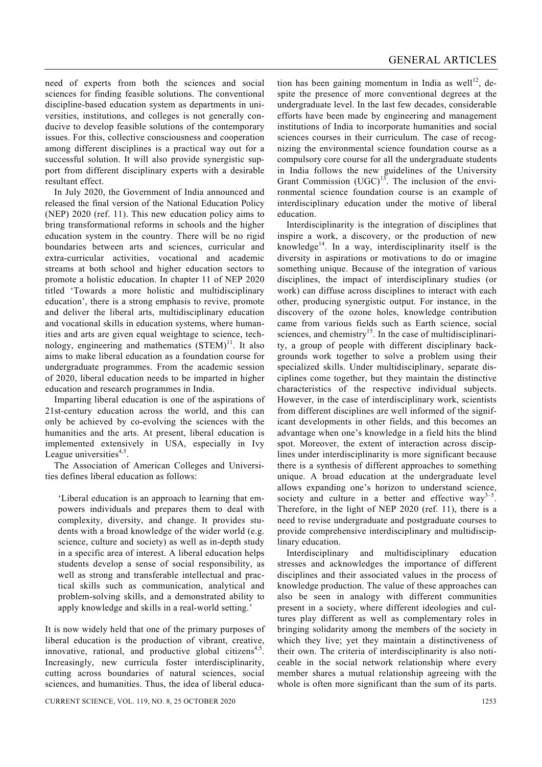need of experts from both the sciences and social sciences for finding feasible solutions. The conventional discipline-based education system as departments in universities, institutions, and colleges is not generally conducive to develop feasible solutions of the contemporary issues. For this, collective consciousness and cooperation among different disciplines is a practical way out for a successful solution. It will also provide synergistic support from different disciplinary experts with a desirable resultant effect.

 In July 2020, the Government of India announced and released the final version of the National Education Policy (NEP) 2020 (ref. 11). This new education policy aims to bring transformational reforms in schools and the higher education system in the country. There will be no rigid boundaries between arts and sciences, curricular and extra-curricular activities, vocational and academic streams at both school and higher education sectors to promote a holistic education. In chapter 11 of NEP 2020 titled 'Towards a more holistic and multidisciplinary education', there is a strong emphasis to revive, promote and deliver the liberal arts, multidisciplinary education and vocational skills in education systems, where humanities and arts are given equal weightage to science, technology, engineering and mathematics  $(STEM)^{11}$ . It also aims to make liberal education as a foundation course for undergraduate programmes. From the academic session of 2020, liberal education needs to be imparted in higher education and research programmes in India.

 Imparting liberal education is one of the aspirations of 21st-century education across the world, and this can only be achieved by co-evolving the sciences with the humanities and the arts. At present, liberal education is implemented extensively in USA, especially in Ivy League universities<sup>4,5</sup>.

 The Association of American Colleges and Universities defines liberal education as follows:

'Liberal education is an approach to learning that empowers individuals and prepares them to deal with complexity, diversity, and change. It provides students with a broad knowledge of the wider world (e.g. science, culture and society) as well as in-depth study in a specific area of interest. A liberal education helps students develop a sense of social responsibility, as well as strong and transferable intellectual and practical skills such as communication, analytical and problem-solving skills, and a demonstrated ability to apply knowledge and skills in a real-world setting.'

It is now widely held that one of the primary purposes of liberal education is the production of vibrant, creative, innovative, rational, and productive global citizens<sup>4,5</sup>. Increasingly, new curricula foster interdisciplinarity, cutting across boundaries of natural sciences, social sciences, and humanities. Thus, the idea of liberal education has been gaining momentum in India as well<sup>12</sup>, despite the presence of more conventional degrees at the undergraduate level. In the last few decades, considerable efforts have been made by engineering and management institutions of India to incorporate humanities and social sciences courses in their curriculum. The case of recognizing the environmental science foundation course as a compulsory core course for all the undergraduate students in India follows the new guidelines of the University Grant Commission  $(UGC)^{13}$ . The inclusion of the environmental science foundation course is an example of interdisciplinary education under the motive of liberal education.

 Interdisciplinarity is the integration of disciplines that inspire a work, a discovery, or the production of new knowledge<sup>14</sup>. In a way, interdisciplinarity itself is the diversity in aspirations or motivations to do or imagine something unique. Because of the integration of various disciplines, the impact of interdisciplinary studies (or work) can diffuse across disciplines to interact with each other, producing synergistic output. For instance, in the discovery of the ozone holes, knowledge contribution came from various fields such as Earth science, social sciences, and chemistry<sup>15</sup>. In the case of multidisciplinarity, a group of people with different disciplinary backgrounds work together to solve a problem using their specialized skills. Under multidisciplinary, separate disciplines come together, but they maintain the distinctive characteristics of the respective individual subjects. However, in the case of interdisciplinary work, scientists from different disciplines are well informed of the significant developments in other fields, and this becomes an advantage when one's knowledge in a field hits the blind spot. Moreover, the extent of interaction across disciplines under interdisciplinarity is more significant because there is a synthesis of different approaches to something unique. A broad education at the undergraduate level allows expanding one's horizon to understand science, society and culture in a better and effective way<sup>3-5</sup>. Therefore, in the light of NEP 2020 (ref. 11), there is a need to revise undergraduate and postgraduate courses to provide comprehensive interdisciplinary and multidisciplinary education.

 Interdisciplinary and multidisciplinary education stresses and acknowledges the importance of different disciplines and their associated values in the process of knowledge production. The value of these approaches can also be seen in analogy with different communities present in a society, where different ideologies and cultures play different as well as complementary roles in bringing solidarity among the members of the society in which they live; yet they maintain a distinctiveness of their own. The criteria of interdisciplinarity is also noticeable in the social network relationship where every member shares a mutual relationship agreeing with the whole is often more significant than the sum of its parts.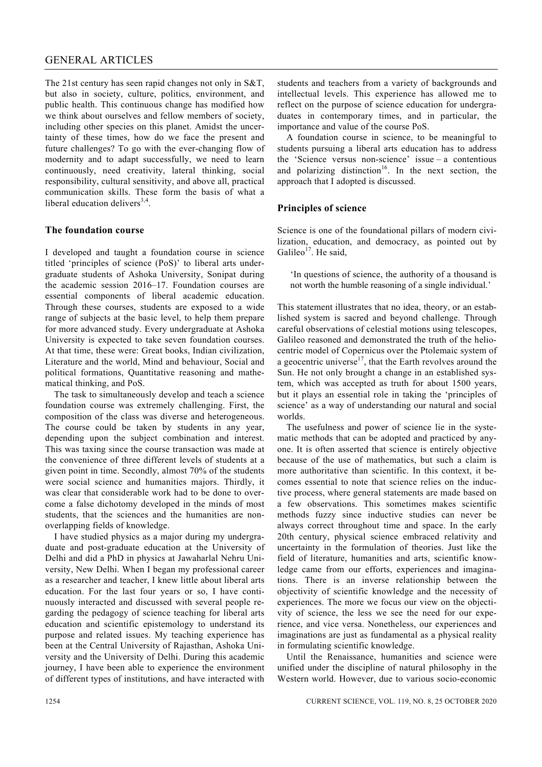## GENERAL ARTICLES

The 21st century has seen rapid changes not only in S&T, but also in society, culture, politics, environment, and public health. This continuous change has modified how we think about ourselves and fellow members of society, including other species on this planet. Amidst the uncertainty of these times, how do we face the present and future challenges? To go with the ever-changing flow of modernity and to adapt successfully, we need to learn continuously, need creativity, lateral thinking, social responsibility, cultural sensitivity, and above all, practical communication skills. These form the basis of what a liberal education delivers $3,4$ .

## **The foundation course**

I developed and taught a foundation course in science titled 'principles of science (PoS)' to liberal arts undergraduate students of Ashoka University, Sonipat during the academic session 2016–17. Foundation courses are essential components of liberal academic education. Through these courses, students are exposed to a wide range of subjects at the basic level, to help them prepare for more advanced study. Every undergraduate at Ashoka University is expected to take seven foundation courses. At that time, these were: Great books, Indian civilization, Literature and the world, Mind and behaviour, Social and political formations, Quantitative reasoning and mathematical thinking, and PoS.

 The task to simultaneously develop and teach a science foundation course was extremely challenging. First, the composition of the class was diverse and heterogeneous. The course could be taken by students in any year, depending upon the subject combination and interest. This was taxing since the course transaction was made at the convenience of three different levels of students at a given point in time. Secondly, almost 70% of the students were social science and humanities majors. Thirdly, it was clear that considerable work had to be done to overcome a false dichotomy developed in the minds of most students, that the sciences and the humanities are nonoverlapping fields of knowledge.

 I have studied physics as a major during my undergraduate and post-graduate education at the University of Delhi and did a PhD in physics at Jawaharlal Nehru University, New Delhi. When I began my professional career as a researcher and teacher, I knew little about liberal arts education. For the last four years or so, I have continuously interacted and discussed with several people regarding the pedagogy of science teaching for liberal arts education and scientific epistemology to understand its purpose and related issues. My teaching experience has been at the Central University of Rajasthan, Ashoka University and the University of Delhi. During this academic journey, I have been able to experience the environment of different types of institutions, and have interacted with

students and teachers from a variety of backgrounds and intellectual levels. This experience has allowed me to reflect on the purpose of science education for undergraduates in contemporary times, and in particular, the importance and value of the course PoS.

 A foundation course in science, to be meaningful to students pursuing a liberal arts education has to address the 'Science versus non-science' issue – a contentious and polarizing distinction<sup>16</sup>. In the next section, the approach that I adopted is discussed.

## **Principles of science**

Science is one of the foundational pillars of modern civilization, education, and democracy, as pointed out by Galileo<sup>17</sup>. He said,

'In questions of science, the authority of a thousand is not worth the humble reasoning of a single individual.'

This statement illustrates that no idea, theory, or an established system is sacred and beyond challenge. Through careful observations of celestial motions using telescopes, Galileo reasoned and demonstrated the truth of the heliocentric model of Copernicus over the Ptolemaic system of a geocentric universe<sup>17</sup>, that the Earth revolves around the Sun. He not only brought a change in an established system, which was accepted as truth for about 1500 years, but it plays an essential role in taking the 'principles of science' as a way of understanding our natural and social worlds.

 The usefulness and power of science lie in the systematic methods that can be adopted and practiced by anyone. It is often asserted that science is entirely objective because of the use of mathematics, but such a claim is more authoritative than scientific. In this context, it becomes essential to note that science relies on the inductive process, where general statements are made based on a few observations. This sometimes makes scientific methods fuzzy since inductive studies can never be always correct throughout time and space. In the early 20th century, physical science embraced relativity and uncertainty in the formulation of theories. Just like the field of literature, humanities and arts, scientific knowledge came from our efforts, experiences and imaginations. There is an inverse relationship between the objectivity of scientific knowledge and the necessity of experiences. The more we focus our view on the objectivity of science, the less we see the need for our experience, and vice versa. Nonetheless, our experiences and imaginations are just as fundamental as a physical reality in formulating scientific knowledge.

 Until the Renaissance, humanities and science were unified under the discipline of natural philosophy in the Western world. However, due to various socio-economic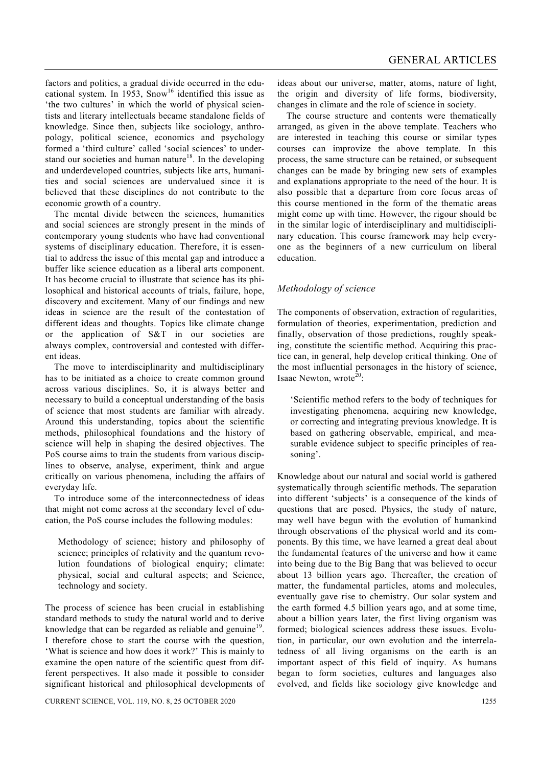factors and politics, a gradual divide occurred in the educational system. In 1953, Snow<sup>16</sup> identified this issue as 'the two cultures' in which the world of physical scientists and literary intellectuals became standalone fields of knowledge. Since then, subjects like sociology, anthropology, political science, economics and psychology formed a 'third culture' called 'social sciences' to understand our societies and human nature<sup>18</sup>. In the developing and underdeveloped countries, subjects like arts, humanities and social sciences are undervalued since it is believed that these disciplines do not contribute to the economic growth of a country.

 The mental divide between the sciences, humanities and social sciences are strongly present in the minds of contemporary young students who have had conventional systems of disciplinary education. Therefore, it is essential to address the issue of this mental gap and introduce a buffer like science education as a liberal arts component. It has become crucial to illustrate that science has its philosophical and historical accounts of trials, failure, hope, discovery and excitement. Many of our findings and new ideas in science are the result of the contestation of different ideas and thoughts. Topics like climate change or the application of S&T in our societies are always complex, controversial and contested with different ideas.

 The move to interdisciplinarity and multidisciplinary has to be initiated as a choice to create common ground across various disciplines. So, it is always better and necessary to build a conceptual understanding of the basis of science that most students are familiar with already. Around this understanding, topics about the scientific methods, philosophical foundations and the history of science will help in shaping the desired objectives. The PoS course aims to train the students from various disciplines to observe, analyse, experiment, think and argue critically on various phenomena, including the affairs of everyday life.

 To introduce some of the interconnectedness of ideas that might not come across at the secondary level of education, the PoS course includes the following modules:

Methodology of science; history and philosophy of science; principles of relativity and the quantum revolution foundations of biological enquiry; climate: physical, social and cultural aspects; and Science, technology and society.

The process of science has been crucial in establishing standard methods to study the natural world and to derive knowledge that can be regarded as reliable and genuine<sup>19</sup>. I therefore chose to start the course with the question, 'What is science and how does it work?' This is mainly to examine the open nature of the scientific quest from different perspectives. It also made it possible to consider significant historical and philosophical developments of ideas about our universe, matter, atoms, nature of light, the origin and diversity of life forms, biodiversity, changes in climate and the role of science in society.

 The course structure and contents were thematically arranged, as given in the above template. Teachers who are interested in teaching this course or similar types courses can improvize the above template. In this process, the same structure can be retained, or subsequent changes can be made by bringing new sets of examples and explanations appropriate to the need of the hour. It is also possible that a departure from core focus areas of this course mentioned in the form of the thematic areas might come up with time. However, the rigour should be in the similar logic of interdisciplinary and multidisciplinary education. This course framework may help everyone as the beginners of a new curriculum on liberal education.

## *Methodology of science*

The components of observation, extraction of regularities, formulation of theories, experimentation, prediction and finally, observation of those predictions, roughly speaking, constitute the scientific method. Acquiring this practice can, in general, help develop critical thinking. One of the most influential personages in the history of science, Isaac Newton, wrote $20$ :

'Scientific method refers to the body of techniques for investigating phenomena, acquiring new knowledge, or correcting and integrating previous knowledge. It is based on gathering observable, empirical, and measurable evidence subject to specific principles of reasoning'.

Knowledge about our natural and social world is gathered systematically through scientific methods. The separation into different 'subjects' is a consequence of the kinds of questions that are posed. Physics, the study of nature, may well have begun with the evolution of humankind through observations of the physical world and its components. By this time, we have learned a great deal about the fundamental features of the universe and how it came into being due to the Big Bang that was believed to occur about 13 billion years ago. Thereafter, the creation of matter, the fundamental particles, atoms and molecules, eventually gave rise to chemistry. Our solar system and the earth formed 4.5 billion years ago, and at some time, about a billion years later, the first living organism was formed; biological sciences address these issues. Evolution, in particular, our own evolution and the interrelatedness of all living organisms on the earth is an important aspect of this field of inquiry. As humans began to form societies, cultures and languages also evolved, and fields like sociology give knowledge and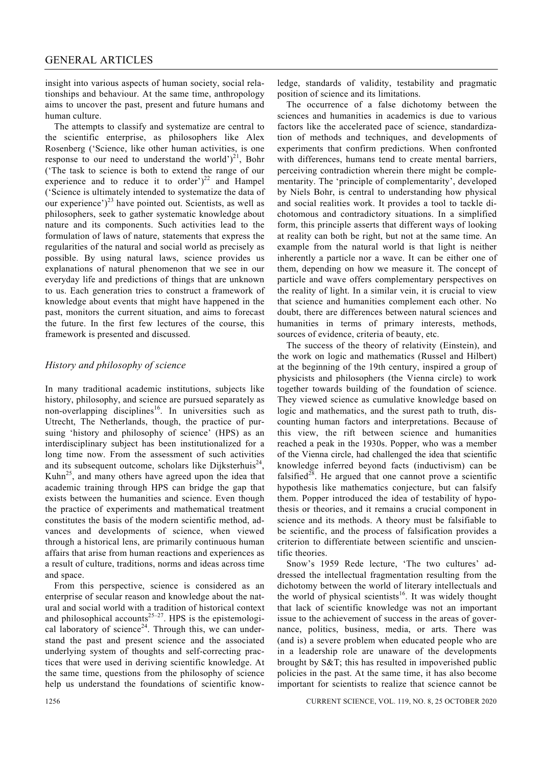insight into various aspects of human society, social relationships and behaviour. At the same time, anthropology aims to uncover the past, present and future humans and human culture.

 The attempts to classify and systematize are central to the scientific enterprise, as philosophers like Alex Rosenberg ('Science, like other human activities, is one response to our need to understand the world' $)^{21}$ , Bohr ('The task to science is both to extend the range of our experience and to reduce it to order' $)^{22}$  and Hampel ('Science is ultimately intended to systematize the data of our experience')<sup>23</sup> have pointed out. Scientists, as well as philosophers, seek to gather systematic knowledge about nature and its components. Such activities lead to the formulation of laws of nature, statements that express the regularities of the natural and social world as precisely as possible. By using natural laws, science provides us explanations of natural phenomenon that we see in our everyday life and predictions of things that are unknown to us. Each generation tries to construct a framework of knowledge about events that might have happened in the past, monitors the current situation, and aims to forecast the future. In the first few lectures of the course, this framework is presented and discussed.

## *History and philosophy of science*

In many traditional academic institutions, subjects like history, philosophy, and science are pursued separately as non-overlapping disciplines<sup>16</sup>. In universities such as Utrecht, The Netherlands, though, the practice of pursuing 'history and philosophy of science' (HPS) as an interdisciplinary subject has been institutionalized for a long time now. From the assessment of such activities and its subsequent outcome, scholars like Dijksterhuis<sup>24</sup>, Kuhn<sup>25</sup>, and many others have agreed upon the idea that academic training through HPS can bridge the gap that exists between the humanities and science. Even though the practice of experiments and mathematical treatment constitutes the basis of the modern scientific method, advances and developments of science, when viewed through a historical lens, are primarily continuous human affairs that arise from human reactions and experiences as a result of culture, traditions, norms and ideas across time and space.

 From this perspective, science is considered as an enterprise of secular reason and knowledge about the natural and social world with a tradition of historical context and philosophical accounts<sup>25–27</sup>. HPS is the epistemological laboratory of science<sup>24</sup>. Through this, we can understand the past and present science and the associated underlying system of thoughts and self-correcting practices that were used in deriving scientific knowledge. At the same time, questions from the philosophy of science help us understand the foundations of scientific knowledge, standards of validity, testability and pragmatic position of science and its limitations.

 The occurrence of a false dichotomy between the sciences and humanities in academics is due to various factors like the accelerated pace of science, standardization of methods and techniques, and developments of experiments that confirm predictions. When confronted with differences, humans tend to create mental barriers, perceiving contradiction wherein there might be complementarity. The 'principle of complementarity', developed by Niels Bohr, is central to understanding how physical and social realities work. It provides a tool to tackle dichotomous and contradictory situations. In a simplified form, this principle asserts that different ways of looking at reality can both be right, but not at the same time. An example from the natural world is that light is neither inherently a particle nor a wave. It can be either one of them, depending on how we measure it. The concept of particle and wave offers complementary perspectives on the reality of light. In a similar vein, it is crucial to view that science and humanities complement each other. No doubt, there are differences between natural sciences and humanities in terms of primary interests, methods, sources of evidence, criteria of beauty, etc.

 The success of the theory of relativity (Einstein), and the work on logic and mathematics (Russel and Hilbert) at the beginning of the 19th century, inspired a group of physicists and philosophers (the Vienna circle) to work together towards building of the foundation of science. They viewed science as cumulative knowledge based on logic and mathematics, and the surest path to truth, discounting human factors and interpretations. Because of this view, the rift between science and humanities reached a peak in the 1930s. Popper, who was a member of the Vienna circle, had challenged the idea that scientific knowledge inferred beyond facts (inductivism) can be falsified<sup>28</sup>. He argued that one cannot prove a scientific hypothesis like mathematics conjecture, but can falsify them. Popper introduced the idea of testability of hypothesis or theories, and it remains a crucial component in science and its methods. A theory must be falsifiable to be scientific, and the process of falsification provides a criterion to differentiate between scientific and unscientific theories.

 Snow's 1959 Rede lecture, 'The two cultures' addressed the intellectual fragmentation resulting from the dichotomy between the world of literary intellectuals and the world of physical scientists<sup>16</sup>. It was widely thought that lack of scientific knowledge was not an important issue to the achievement of success in the areas of governance, politics, business, media, or arts. There was (and is) a severe problem when educated people who are in a leadership role are unaware of the developments brought by S&T; this has resulted in impoverished public policies in the past. At the same time, it has also become important for scientists to realize that science cannot be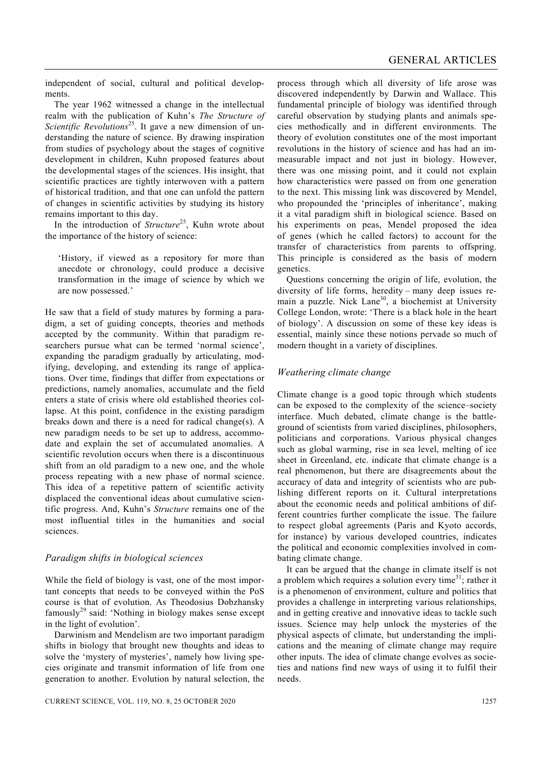independent of social, cultural and political developments.

 The year 1962 witnessed a change in the intellectual realm with the publication of Kuhn's *The Structure of Scientific Revolutions*<sup>25</sup>. It gave a new dimension of understanding the nature of science. By drawing inspiration from studies of psychology about the stages of cognitive development in children, Kuhn proposed features about the developmental stages of the sciences. His insight, that scientific practices are tightly interwoven with a pattern of historical tradition, and that one can unfold the pattern of changes in scientific activities by studying its history remains important to this day.

In the introduction of *Structure*<sup>25</sup>, Kuhn wrote about the importance of the history of science:

'History, if viewed as a repository for more than anecdote or chronology, could produce a decisive transformation in the image of science by which we are now possessed.'

He saw that a field of study matures by forming a paradigm, a set of guiding concepts, theories and methods accepted by the community. Within that paradigm researchers pursue what can be termed 'normal science', expanding the paradigm gradually by articulating, modifying, developing, and extending its range of applications. Over time, findings that differ from expectations or predictions, namely anomalies, accumulate and the field enters a state of crisis where old established theories collapse. At this point, confidence in the existing paradigm breaks down and there is a need for radical change(s). A new paradigm needs to be set up to address, accommodate and explain the set of accumulated anomalies. A scientific revolution occurs when there is a discontinuous shift from an old paradigm to a new one, and the whole process repeating with a new phase of normal science. This idea of a repetitive pattern of scientific activity displaced the conventional ideas about cumulative scientific progress. And, Kuhn's *Structure* remains one of the most influential titles in the humanities and social sciences.

#### *Paradigm shifts in biological sciences*

While the field of biology is vast, one of the most important concepts that needs to be conveyed within the PoS course is that of evolution. As Theodosius Dobzhansky famously<sup>29</sup> said: 'Nothing in biology makes sense except in the light of evolution'.

 Darwinism and Mendelism are two important paradigm shifts in biology that brought new thoughts and ideas to solve the 'mystery of mysteries', namely how living species originate and transmit information of life from one generation to another. Evolution by natural selection, the

CURRENT SCIENCE, VOL. 119, NO. 8, 25 OCTOBER 2020 1257

process through which all diversity of life arose was discovered independently by Darwin and Wallace. This fundamental principle of biology was identified through careful observation by studying plants and animals species methodically and in different environments. The theory of evolution constitutes one of the most important revolutions in the history of science and has had an immeasurable impact and not just in biology. However, there was one missing point, and it could not explain how characteristics were passed on from one generation to the next. This missing link was discovered by Mendel, who propounded the 'principles of inheritance', making it a vital paradigm shift in biological science. Based on his experiments on peas, Mendel proposed the idea of genes (which he called factors) to account for the transfer of characteristics from parents to offspring. This principle is considered as the basis of modern genetics.

 Questions concerning the origin of life, evolution, the diversity of life forms, heredity – many deep issues remain a puzzle. Nick Lane<sup>30</sup>, a biochemist at University College London, wrote: 'There is a black hole in the heart of biology'. A discussion on some of these key ideas is essential, mainly since these notions pervade so much of modern thought in a variety of disciplines.

#### *Weathering climate change*

Climate change is a good topic through which students can be exposed to the complexity of the science–society interface. Much debated, climate change is the battleground of scientists from varied disciplines, philosophers, politicians and corporations. Various physical changes such as global warming, rise in sea level, melting of ice sheet in Greenland, etc. indicate that climate change is a real phenomenon, but there are disagreements about the accuracy of data and integrity of scientists who are publishing different reports on it. Cultural interpretations about the economic needs and political ambitions of different countries further complicate the issue. The failure to respect global agreements (Paris and Kyoto accords, for instance) by various developed countries, indicates the political and economic complexities involved in combating climate change.

 It can be argued that the change in climate itself is not a problem which requires a solution every time<sup>31</sup>; rather it is a phenomenon of environment, culture and politics that provides a challenge in interpreting various relationships, and in getting creative and innovative ideas to tackle such issues. Science may help unlock the mysteries of the physical aspects of climate, but understanding the implications and the meaning of climate change may require other inputs. The idea of climate change evolves as societies and nations find new ways of using it to fulfil their needs.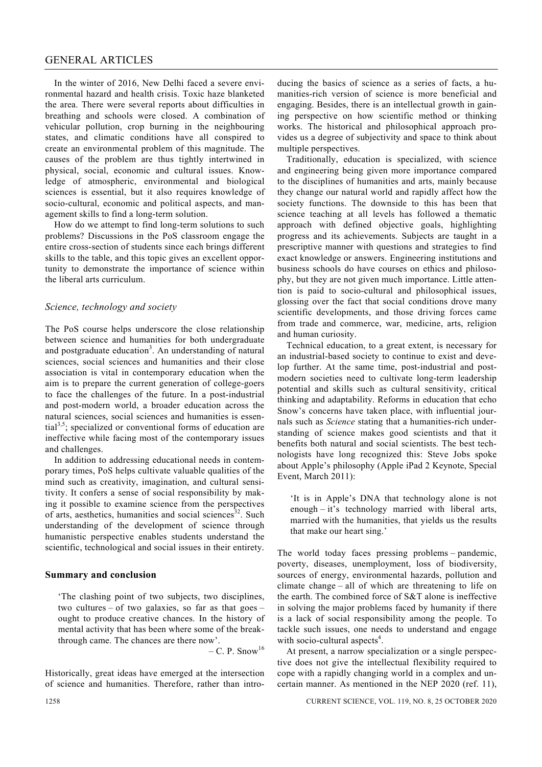#### GENERAL ARTICLES

 In the winter of 2016, New Delhi faced a severe environmental hazard and health crisis. Toxic haze blanketed the area. There were several reports about difficulties in breathing and schools were closed. A combination of vehicular pollution, crop burning in the neighbouring states, and climatic conditions have all conspired to create an environmental problem of this magnitude. The causes of the problem are thus tightly intertwined in physical, social, economic and cultural issues. Knowledge of atmospheric, environmental and biological sciences is essential, but it also requires knowledge of socio-cultural, economic and political aspects, and management skills to find a long-term solution.

 How do we attempt to find long-term solutions to such problems? Discussions in the PoS classroom engage the entire cross-section of students since each brings different skills to the table, and this topic gives an excellent opportunity to demonstrate the importance of science within the liberal arts curriculum.

#### *Science, technology and society*

The PoS course helps underscore the close relationship between science and humanities for both undergraduate and postgraduate education<sup>3</sup>. An understanding of natural sciences, social sciences and humanities and their close association is vital in contemporary education when the aim is to prepare the current generation of college-goers to face the challenges of the future. In a post-industrial and post-modern world, a broader education across the natural sciences, social sciences and humanities is essential<sup>3,5</sup>; specialized or conventional forms of education are ineffective while facing most of the contemporary issues and challenges.

 In addition to addressing educational needs in contemporary times, PoS helps cultivate valuable qualities of the mind such as creativity, imagination, and cultural sensitivity. It confers a sense of social responsibility by making it possible to examine science from the perspectives of arts, aesthetics, humanities and social sciences<sup>32</sup>. Such understanding of the development of science through humanistic perspective enables students understand the scientific, technological and social issues in their entirety.

#### **Summary and conclusion**

'The clashing point of two subjects, two disciplines, two cultures – of two galaxies, so far as that goes – ought to produce creative chances. In the history of mental activity that has been where some of the breakthrough came. The chances are there now'.

– C. P. Snow<sup>16</sup>

Historically, great ideas have emerged at the intersection of science and humanities. Therefore, rather than introducing the basics of science as a series of facts, a humanities-rich version of science is more beneficial and engaging. Besides, there is an intellectual growth in gaining perspective on how scientific method or thinking works. The historical and philosophical approach provides us a degree of subjectivity and space to think about multiple perspectives.

 Traditionally, education is specialized, with science and engineering being given more importance compared to the disciplines of humanities and arts, mainly because they change our natural world and rapidly affect how the society functions. The downside to this has been that science teaching at all levels has followed a thematic approach with defined objective goals, highlighting progress and its achievements. Subjects are taught in a prescriptive manner with questions and strategies to find exact knowledge or answers. Engineering institutions and business schools do have courses on ethics and philosophy, but they are not given much importance. Little attention is paid to socio-cultural and philosophical issues, glossing over the fact that social conditions drove many scientific developments, and those driving forces came from trade and commerce, war, medicine, arts, religion and human curiosity.

 Technical education, to a great extent, is necessary for an industrial-based society to continue to exist and develop further. At the same time, post-industrial and postmodern societies need to cultivate long-term leadership potential and skills such as cultural sensitivity, critical thinking and adaptability. Reforms in education that echo Snow's concerns have taken place, with influential journals such as *Science* stating that a humanities-rich understanding of science makes good scientists and that it benefits both natural and social scientists. The best technologists have long recognized this: Steve Jobs spoke about Apple's philosophy (Apple iPad 2 Keynote, Special Event, March 2011):

'It is in Apple's DNA that technology alone is not enough – it's technology married with liberal arts, married with the humanities, that yields us the results that make our heart sing.'

The world today faces pressing problems – pandemic, poverty, diseases, unemployment, loss of biodiversity, sources of energy, environmental hazards, pollution and climate change – all of which are threatening to life on the earth. The combined force of S&T alone is ineffective in solving the major problems faced by humanity if there is a lack of social responsibility among the people. To tackle such issues, one needs to understand and engage with socio-cultural aspects<sup>4</sup>.

 At present, a narrow specialization or a single perspective does not give the intellectual flexibility required to cope with a rapidly changing world in a complex and uncertain manner. As mentioned in the NEP 2020 (ref. 11),